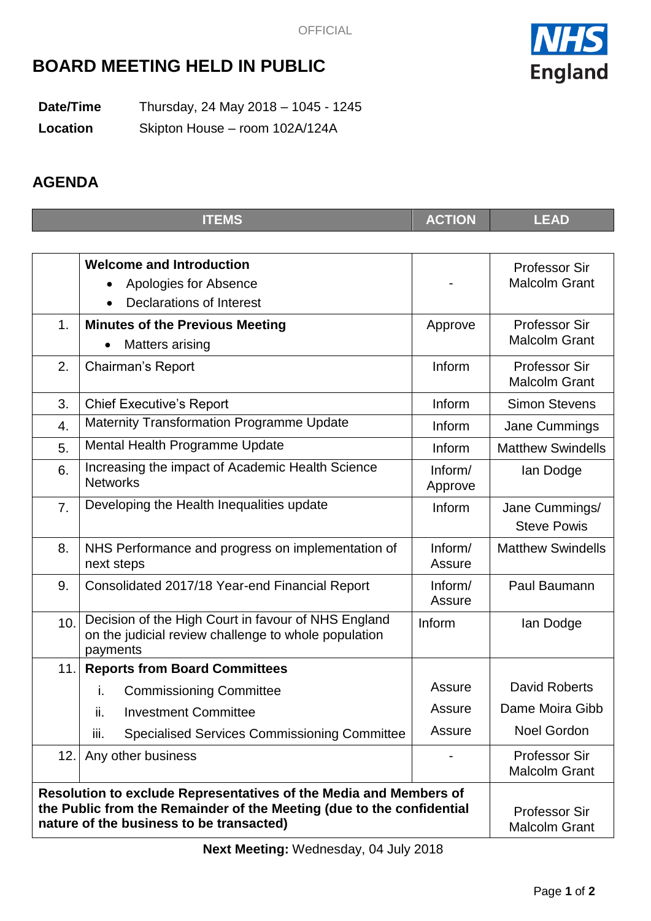

# **BOARD MEETING HELD IN PUBLIC**

**Date/Time** Thursday, 24 May 2018 – 1045 - 1245 **Location** Skipton House – room 102A/124A

## **AGENDA**

|                                                                                                                                                                                        | <b>ITEMS</b>                                                                                                            | <b>ACTION</b>      | <b>LEAD</b>                                  |
|----------------------------------------------------------------------------------------------------------------------------------------------------------------------------------------|-------------------------------------------------------------------------------------------------------------------------|--------------------|----------------------------------------------|
|                                                                                                                                                                                        |                                                                                                                         |                    |                                              |
|                                                                                                                                                                                        | <b>Welcome and Introduction</b><br>Apologies for Absence<br><b>Declarations of Interest</b>                             |                    | <b>Professor Sir</b><br><b>Malcolm Grant</b> |
| 1.                                                                                                                                                                                     | <b>Minutes of the Previous Meeting</b><br>Matters arising                                                               | Approve            | <b>Professor Sir</b><br><b>Malcolm Grant</b> |
| 2.                                                                                                                                                                                     | Chairman's Report                                                                                                       | Inform             | <b>Professor Sir</b><br><b>Malcolm Grant</b> |
| 3.                                                                                                                                                                                     | <b>Chief Executive's Report</b>                                                                                         | Inform             | <b>Simon Stevens</b>                         |
| 4.                                                                                                                                                                                     | <b>Maternity Transformation Programme Update</b>                                                                        | Inform             | Jane Cummings                                |
| 5.                                                                                                                                                                                     | Mental Health Programme Update                                                                                          | Inform             | <b>Matthew Swindells</b>                     |
| 6.                                                                                                                                                                                     | Increasing the impact of Academic Health Science<br><b>Networks</b>                                                     | Inform/<br>Approve | lan Dodge                                    |
| 7.                                                                                                                                                                                     | Developing the Health Inequalities update                                                                               | Inform             | Jane Cummings/<br><b>Steve Powis</b>         |
| 8.                                                                                                                                                                                     | NHS Performance and progress on implementation of<br>next steps                                                         | Inform/<br>Assure  | <b>Matthew Swindells</b>                     |
| 9.                                                                                                                                                                                     | Consolidated 2017/18 Year-end Financial Report                                                                          | Inform/<br>Assure  | Paul Baumann                                 |
| 10.                                                                                                                                                                                    | Decision of the High Court in favour of NHS England<br>on the judicial review challenge to whole population<br>payments | Inform             | lan Dodge                                    |
| 11.                                                                                                                                                                                    | <b>Reports from Board Committees</b>                                                                                    |                    |                                              |
|                                                                                                                                                                                        | <b>Commissioning Committee</b><br>İ.                                                                                    | Assure             | <b>David Roberts</b>                         |
|                                                                                                                                                                                        | ii.<br><b>Investment Committee</b>                                                                                      | Assure             | Dame Moira Gibb                              |
|                                                                                                                                                                                        | iii.<br><b>Specialised Services Commissioning Committee</b>                                                             | Assure             | <b>Noel Gordon</b>                           |
| 12.                                                                                                                                                                                    | Any other business                                                                                                      |                    | <b>Professor Sir</b><br><b>Malcolm Grant</b> |
| Resolution to exclude Representatives of the Media and Members of<br>the Public from the Remainder of the Meeting (due to the confidential<br>nature of the business to be transacted) | <b>Professor Sir</b><br><b>Malcolm Grant</b>                                                                            |                    |                                              |